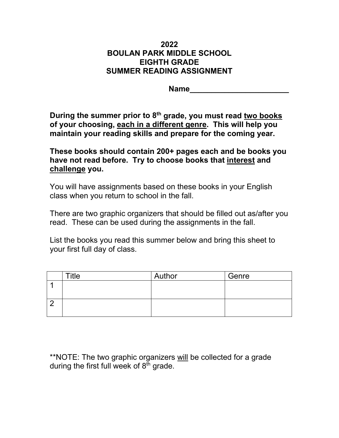## **2022 BOULAN PARK MIDDLE SCHOOL EIGHTH GRADE SUMMER READING ASSIGNMENT**

**Name\_\_\_\_\_\_\_\_\_\_\_\_\_\_\_\_\_\_\_\_\_\_\_**

**During the summer prior to 8th grade, you must read two books of your choosing, each in a different genre. This will help you maintain your reading skills and prepare for the coming year.** 

**These books should contain 200+ pages each and be books you have not read before. Try to choose books that interest and challenge you.** 

You will have assignments based on these books in your English class when you return to school in the fall.

There are two graphic organizers that should be filled out as/after you read. These can be used during the assignments in the fall.

List the books you read this summer below and bring this sheet to your first full day of class.

| $T$ itle | Author | Genre |
|----------|--------|-------|
|          |        |       |
|          |        |       |
|          |        |       |
|          |        |       |

\*\*NOTE: The two graphic organizers will be collected for a grade during the first full week of  $8<sup>th</sup>$  grade.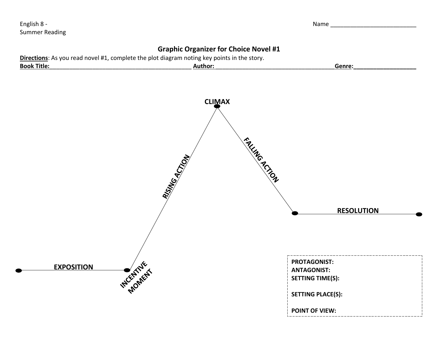English 8 - Name Quantum Company of the Company of the Company of the Company of the Company of the Company of the Company of the Company of the Company of the Company of the Company of the Company of the Company of the Co Summer Reading

## **Graphic Organizer for Choice Novel #1**

| <b>Directions:</b> As you read novel #1, complete the plot diagram noting key points in the story. |                     |                    |  |  |  |
|----------------------------------------------------------------------------------------------------|---------------------|--------------------|--|--|--|
| <b>Book Title:</b>                                                                                 | Author <sup>.</sup> | Genre <sup>.</sup> |  |  |  |